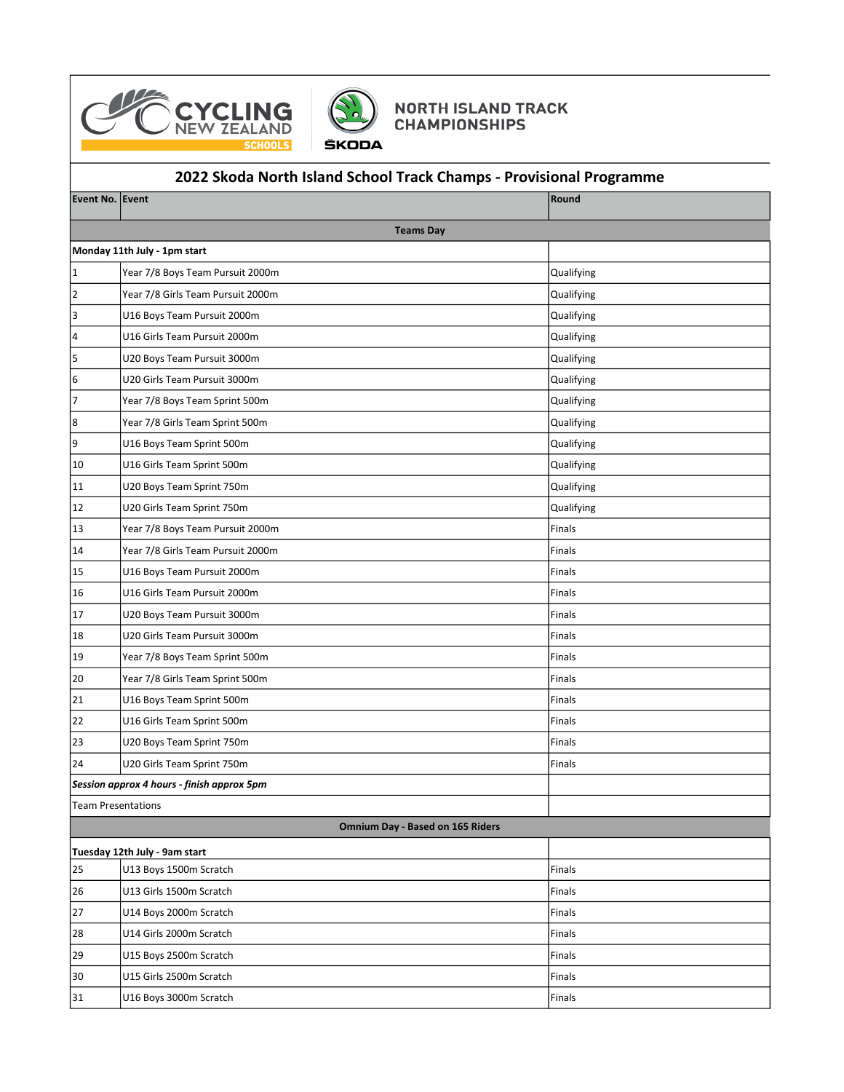



## **NORTH ISLAND TRACK<br>CHAMPIONSHIPS**

## 2022 Skoda North Island School Track Champs - Provisional Programme

| Event No. Event                         |                                            | Round      |  |  |
|-----------------------------------------|--------------------------------------------|------------|--|--|
|                                         | <b>Teams Day</b>                           |            |  |  |
|                                         | Monday 11th July - 1pm start               |            |  |  |
| 1                                       | Year 7/8 Boys Team Pursuit 2000m           | Qualifying |  |  |
| 2                                       | Year 7/8 Girls Team Pursuit 2000m          | Qualifying |  |  |
| 3                                       | U16 Boys Team Pursuit 2000m                | Qualifying |  |  |
| 4                                       | U16 Girls Team Pursuit 2000m               | Qualifying |  |  |
| 5                                       | U20 Boys Team Pursuit 3000m                | Qualifying |  |  |
| 6                                       | U20 Girls Team Pursuit 3000m               | Qualifying |  |  |
| 7                                       | Year 7/8 Boys Team Sprint 500m             | Qualifying |  |  |
| 8                                       | Year 7/8 Girls Team Sprint 500m            | Qualifying |  |  |
| 9                                       | U16 Boys Team Sprint 500m                  | Qualifying |  |  |
| 10                                      | U16 Girls Team Sprint 500m                 | Qualifying |  |  |
| 11                                      | U20 Boys Team Sprint 750m                  | Qualifying |  |  |
| 12                                      | U20 Girls Team Sprint 750m                 | Qualifying |  |  |
| 13                                      | Year 7/8 Boys Team Pursuit 2000m           | Finals     |  |  |
| 14                                      | Year 7/8 Girls Team Pursuit 2000m          | Finals     |  |  |
| 15                                      | U16 Boys Team Pursuit 2000m                | Finals     |  |  |
| 16                                      | U16 Girls Team Pursuit 2000m               | Finals     |  |  |
| 17                                      | U20 Boys Team Pursuit 3000m                | Finals     |  |  |
| 18                                      | U20 Girls Team Pursuit 3000m               | Finals     |  |  |
| 19                                      | Year 7/8 Boys Team Sprint 500m             | Finals     |  |  |
| 20                                      | Year 7/8 Girls Team Sprint 500m            | Finals     |  |  |
| 21                                      | U16 Boys Team Sprint 500m                  | Finals     |  |  |
| 22                                      | U16 Girls Team Sprint 500m                 | Finals     |  |  |
| 23                                      | U20 Boys Team Sprint 750m                  | Finals     |  |  |
| 24                                      | U20 Girls Team Sprint 750m                 | Finals     |  |  |
|                                         | Session approx 4 hours - finish approx 5pm |            |  |  |
| <b>Team Presentations</b>               |                                            |            |  |  |
| <b>Omnium Day - Based on 165 Riders</b> |                                            |            |  |  |
|                                         | Tuesday 12th July - 9am start              |            |  |  |
| 25                                      | U13 Boys 1500m Scratch                     | Finals     |  |  |
| 26                                      | U13 Girls 1500m Scratch                    | Finals     |  |  |
| 27                                      | U14 Boys 2000m Scratch                     | Finals     |  |  |
| 28                                      | U14 Girls 2000m Scratch                    | Finals     |  |  |
| 29                                      | U15 Boys 2500m Scratch                     | Finals     |  |  |
| 30                                      | U15 Girls 2500m Scratch                    | Finals     |  |  |
| 31                                      | U16 Boys 3000m Scratch                     | Finals     |  |  |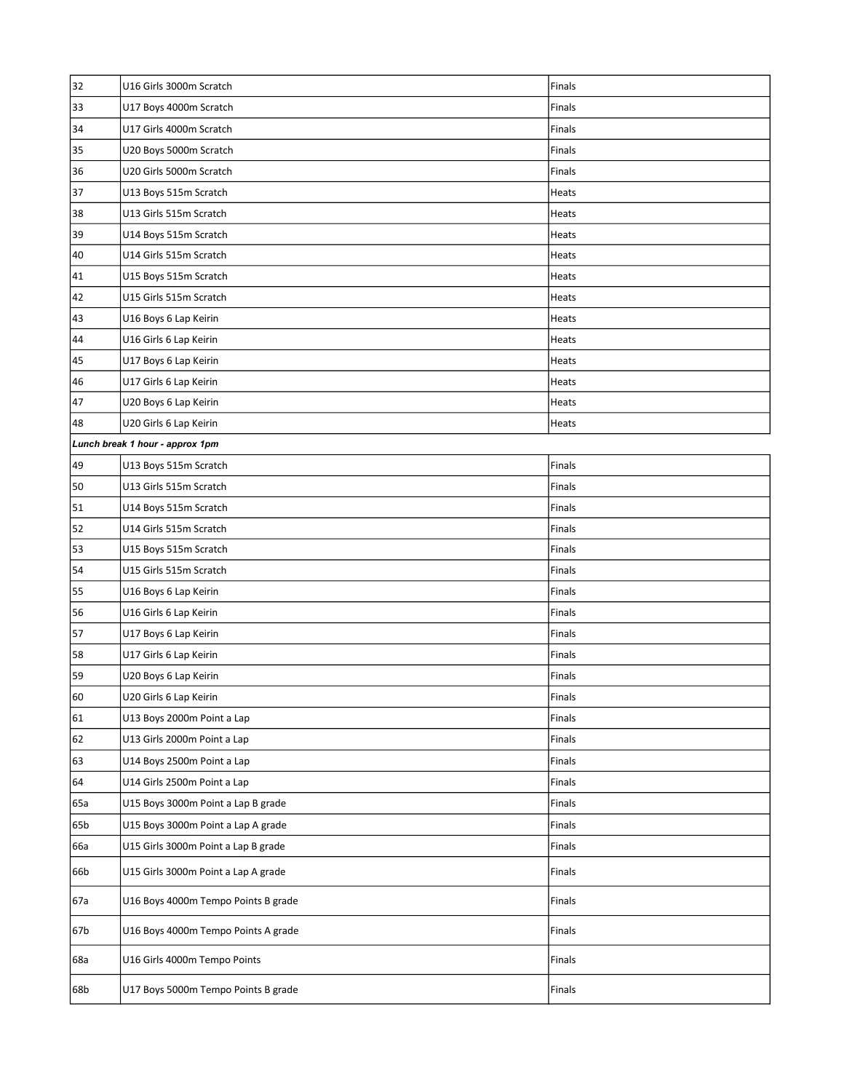| 32                              | U16 Girls 3000m Scratch             | Finals       |  |
|---------------------------------|-------------------------------------|--------------|--|
| 33                              | U17 Boys 4000m Scratch              | Finals       |  |
| 34                              | U17 Girls 4000m Scratch             | Finals       |  |
| 35                              | U20 Boys 5000m Scratch              | Finals       |  |
| 36                              | U20 Girls 5000m Scratch             | Finals       |  |
| 37                              | U13 Boys 515m Scratch               | Heats        |  |
| 38                              | U13 Girls 515m Scratch              | <b>Heats</b> |  |
| 39                              | U14 Boys 515m Scratch               | Heats        |  |
| 40                              | U14 Girls 515m Scratch              | Heats        |  |
| 41                              | U15 Boys 515m Scratch               | Heats        |  |
| 42                              | U15 Girls 515m Scratch              | Heats        |  |
| 43                              | U16 Boys 6 Lap Keirin               | Heats        |  |
| 44                              | U16 Girls 6 Lap Keirin              | Heats        |  |
| 45                              | U17 Boys 6 Lap Keirin               | Heats        |  |
| 46                              | U17 Girls 6 Lap Keirin              | Heats        |  |
| 47                              | U20 Boys 6 Lap Keirin               | Heats        |  |
| 48                              | U20 Girls 6 Lap Keirin              | Heats        |  |
| Lunch break 1 hour - approx 1pm |                                     |              |  |
| 49                              | U13 Boys 515m Scratch               | Finals       |  |
| 50                              | U13 Girls 515m Scratch              | Finals       |  |
| 51                              | U14 Boys 515m Scratch               | Finals       |  |
| 52                              | U14 Girls 515m Scratch              | Finals       |  |
| 53                              | U15 Boys 515m Scratch               | Finals       |  |
| 54                              | U15 Girls 515m Scratch              | Finals       |  |
| 55                              | U16 Boys 6 Lap Keirin               | Finals       |  |
| 56                              | U16 Girls 6 Lap Keirin              | Finals       |  |
| 57                              | U17 Boys 6 Lap Keirin               | Finals       |  |
| 58                              | U17 Girls 6 Lap Keirin              | Finals       |  |
| 59                              | U20 Boys 6 Lap Keirin               | Finals       |  |
| 60                              | U20 Girls 6 Lap Keirin              | Finals       |  |
| 61                              | U13 Boys 2000m Point a Lap          | Finals       |  |
| 62                              | U13 Girls 2000m Point a Lap         | Finals       |  |
| 63                              | U14 Boys 2500m Point a Lap          | Finals       |  |
| 64                              | U14 Girls 2500m Point a Lap         | Finals       |  |
| 65a                             | U15 Boys 3000m Point a Lap B grade  | Finals       |  |
| 65b                             | U15 Boys 3000m Point a Lap A grade  | Finals       |  |
| 66a                             | U15 Girls 3000m Point a Lap B grade | Finals       |  |
| 66b                             | U15 Girls 3000m Point a Lap A grade | Finals       |  |
| 67a                             | U16 Boys 4000m Tempo Points B grade | Finals       |  |
| 67b                             | U16 Boys 4000m Tempo Points A grade | Finals       |  |
| 68a                             | U16 Girls 4000m Tempo Points        | Finals       |  |
| 68b                             | U17 Boys 5000m Tempo Points B grade | Finals       |  |